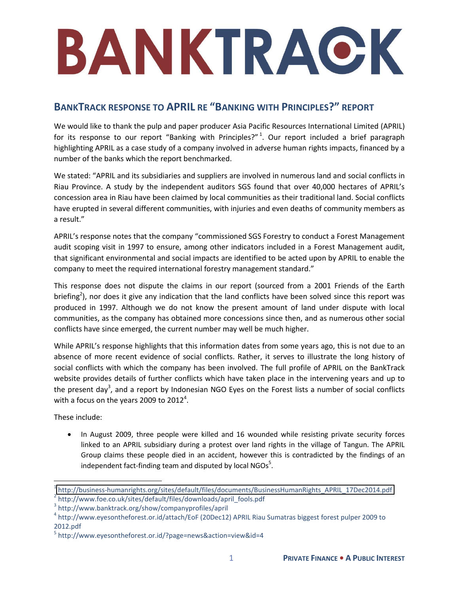## BANKTRACK

## **BANKTRACK RESPONSE TO APRIL RE "BANKING WITH PRINCIPLES?" REPORT**

We would like to thank the pulp and paper producer Asia Pacific Resources International Limited (APRIL) for its response to our report "Banking with Principles?"<sup>1</sup>. Our report included a brief paragraph highlighting APRIL as a case study of a company involved in adverse human rights impacts, financed by a number of the banks which the report benchmarked.

We stated: "APRIL and its subsidiaries and suppliers are involved in numerous land and social conflicts in Riau Province. A study by the independent auditors SGS found that over 40,000 hectares of APRIL's concession area in Riau have been claimed by local communities as their traditional land. Social conflicts have erupted in several different communities, with injuries and even deaths of community members as a result."

APRIL's response notes that the company "commissioned SGS Forestry to conduct a Forest Management audit scoping visit in 1997 to ensure, among other indicators included in a Forest Management audit, that significant environmental and social impacts are identified to be acted upon by APRIL to enable the company to meet the required international forestry management standard."

This response does not dispute the claims in our report (sourced from a 2001 Friends of the Earth briefing<sup>2</sup>), nor does it give any indication that the land conflicts have been solved since this report was produced in 1997. Although we do not know the present amount of land under dispute with local communities, as the company has obtained more concessions since then, and as numerous other social conflicts have since emerged, the current number may well be much higher.

While APRIL's response highlights that this information dates from some years ago, this is not due to an absence of more recent evidence of social conflicts. Rather, it serves to illustrate the long history of social conflicts with which the company has been involved. The full profile of APRIL on the BankTrack website provides details of further conflicts which have taken place in the intervening years and up to the present day<sup>3</sup>, and a report by Indonesian NGO Eyes on the Forest lists a number of social conflicts with a focus on the years 2009 to  $2012^4$ .

These include:

In August 2009, three people were killed and 16 wounded while resisting private security forces  $\bullet$ linked to an APRIL subsidiary during a protest over land rights in the village of Tangun. The APRIL Group claims these people died in an accident, however this is contradicted by the findings of an independent fact-finding team and disputed by local NGOs<sup>5</sup>.

<sup>&</sup>lt;sup>1</sup>http://business-humanrights.org/sites/default/files/documents/BusinessHumanRights\_APRIL\_17Dec2014.pdf

<sup>&</sup>lt;sup>2</sup> http://www.foe.co.uk/sites/default/files/downloads/april\_fools.pdf

<sup>&</sup>lt;sup>3</sup> http://www.banktrack.org/show/companyprofiles/april

<sup>&</sup>lt;sup>4</sup> http://www.eyesontheforest.or.id/attach/EoF (20Dec12) APRIL Riau Sumatras biggest forest pulper 2009 to 2012.pdf

<sup>&</sup>lt;sup>5</sup> http://www.eyesontheforest.or.id/?page=news&action=view&id=4